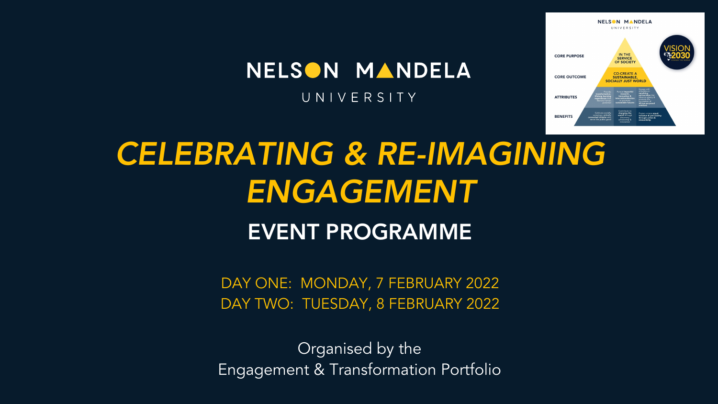

# NELSON MANDELA

UNIVERSITY

# *CELEBRATING & RE-IMAGINING ENGAGEMENT* EVENT PROGRAMME

DAY ONE: MONDAY, 7 FEBRUARY 2022 DAY TWO: TUESDAY, 8 FEBRUARY 2022

Organised by the Engagement & Transformation Portfolio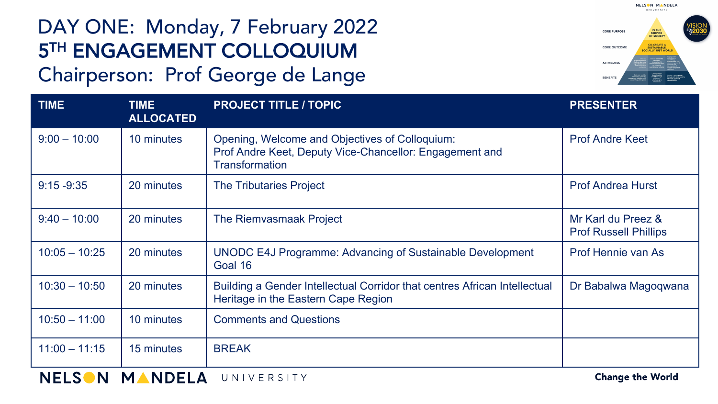## DAY ONE: Monday, 7 February 2022 5TH ENGAGEMENT COLLOQUIUM Chairperson: Prof George de Lange



| <b>TIME</b>     | <b>TIME</b><br><b>ALLOCATED</b> | <b>PROJECT TITLE / TOPIC</b>                                                                                                       | <b>PRESENTER</b>                                   |
|-----------------|---------------------------------|------------------------------------------------------------------------------------------------------------------------------------|----------------------------------------------------|
| $9:00 - 10:00$  | 10 minutes                      | Opening, Welcome and Objectives of Colloquium:<br>Prof Andre Keet, Deputy Vice-Chancellor: Engagement and<br><b>Transformation</b> | <b>Prof Andre Keet</b>                             |
| $9:15 - 9:35$   | 20 minutes                      | <b>The Tributaries Project</b>                                                                                                     | <b>Prof Andrea Hurst</b>                           |
| $9:40 - 10:00$  | 20 minutes                      | The Riemvasmaak Project                                                                                                            | Mr Karl du Preez &<br><b>Prof Russell Phillips</b> |
| $10:05 - 10:25$ | 20 minutes                      | <b>UNODC E4J Programme: Advancing of Sustainable Development</b><br>Goal 16                                                        | Prof Hennie van As                                 |
| $10:30 - 10:50$ | 20 minutes                      | Building a Gender Intellectual Corridor that centres African Intellectual<br>Heritage in the Eastern Cape Region                   | Dr Babalwa Magoqwana                               |
| $10:50 - 11:00$ | 10 minutes                      | <b>Comments and Questions</b>                                                                                                      |                                                    |
| $11:00 - 11:15$ | 15 minutes                      | <b>BREAK</b>                                                                                                                       |                                                    |

**Change the World**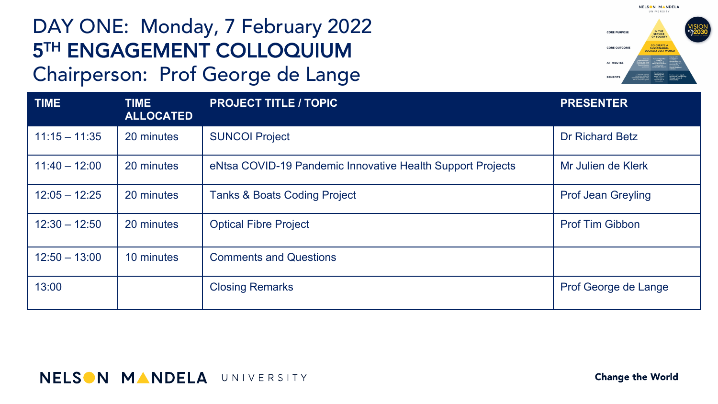# DAY ONE: Monday, 7 February 2022 **5TH ENGAGEMENT COLLOQUIUM**

#### Chairperson: Prof George de Lange

**TIME TIME ALLOCATED PROJECT TITLE / TOPIC PRESENTER** 11:15 – 11:35 20 minutes Suncol Project Suncome Suncol Project Suncol Betz Suncol Betz 11:40 – 12:00 | 20 minutes | eNtsa COVID-19 Pandemic Innovative Health Support Projects | Mr Julien de Klerk 12:05 – 12:25 20 minutes Tanks & Boats Coding Project Profession Control Prof Jean Greyling 12:30 – 12:50 | 20 minutes | Optical Fibre Project | November 2012 | Prof Tim Gibbon  $12:50 - 13:00$  10 minutes Comments and Questions 13:00 and the closing Remarks **Profession Closing Remarks** Prof George de Lange



#### **NELSON MANDELA UNIVERSITY**

**Change the World**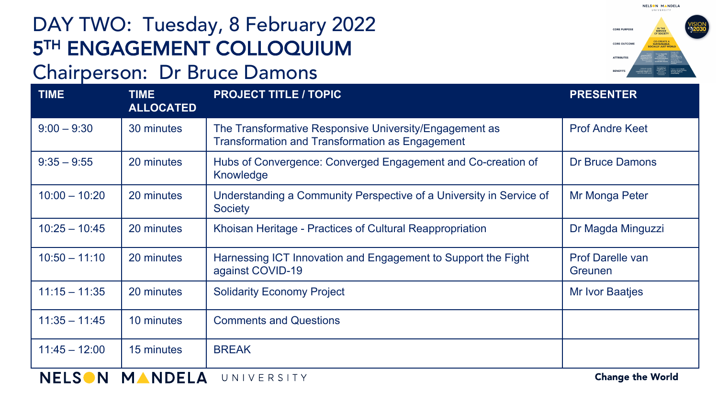# DAY TWO: Tuesday, 8 February 2022 **5TH ENGAGEMENT COLLOQUIUM**

#### Chairperson: Dr Bruce Damons

**TIME TIME ALLOCATED PROJECT TITLE / TOPIC PRESENTER** 9:00 – 9:30 30 minutes The Transformative Responsive University/Engagement as Transformation and Transformation as Engagement Prof Andre Keet 9:35 – 9:55 20 minutes Hubs of Convergence: Converged Engagement and Co-creation of Knowledge Dr Bruce Damons 10:00 – 10:20 20 minutes Understanding a Community Perspective of a University in Service of **Society** Mr Monga Peter 10:25 – 10:45 | 20 minutes | Khoisan Heritage - Practices of Cultural Reappropriation | Dr Magda Minguzzi 10:50 – 11:10 | 20 minutes | Harnessing ICT Innovation and Engagement to Support the Fight against COVID-19 Prof Darelle van Greunen 11:15 – 11:35 20 minutes Solidarity Economy Project Number 11:15 – 11:35 Mr Ivor Baatjes 11:35 – 11:45 10 minutes Comments and Questions 11:45 – 12:00 | 15 minutes | BREAK

NELSON MANDELA UNIVERSITY

**Change the World** 



**INDEPERTY** 

NELSON MANDELA